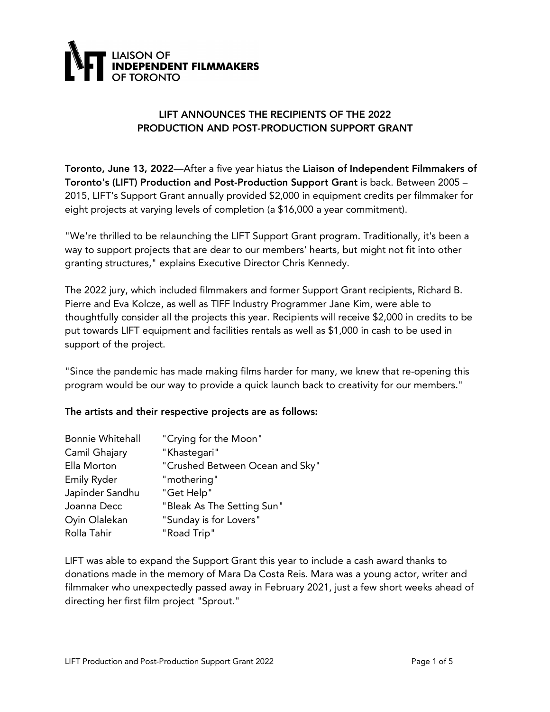

### LIFT ANNOUNCES THE RECIPIENTS OF THE 2022 PRODUCTION AND POST-PRODUCTION SUPPORT GRANT

Toronto, June 13, 2022—After a five year hiatus the Liaison of Independent Filmmakers of Toronto's (LIFT) Production and Post-Production Support Grant is back. Between 2005 – 2015, LIFT's Support Grant annually provided \$2,000 in equipment credits per filmmaker for eight projects at varying levels of completion (a \$16,000 a year commitment).

"We're thrilled to be relaunching the LIFT Support Grant program. Traditionally, it's been a way to support projects that are dear to our members' hearts, but might not fit into other granting structures," explains Executive Director Chris Kennedy.

The 2022 jury, which included filmmakers and former Support Grant recipients, Richard B. Pierre and Eva Kolcze, as well as TIFF Industry Programmer Jane Kim, were able to thoughtfully consider all the projects this year. Recipients will receive \$2,000 in credits to be put towards LIFT equipment and facilities rentals as well as \$1,000 in cash to be used in support of the project.

"Since the pandemic has made making films harder for many, we knew that re-opening this program would be our way to provide a quick launch back to creativity for our members."

#### The artists and their respective projects are as follows:

| <b>Bonnie Whitehall</b> | "Crying for the Moon"           |
|-------------------------|---------------------------------|
| Camil Ghajary           | "Khastegari"                    |
| Ella Morton             | "Crushed Between Ocean and Sky" |
| <b>Emily Ryder</b>      | "mothering"                     |
| Japinder Sandhu         | "Get Help"                      |
| Joanna Decc             | "Bleak As The Setting Sun"      |
| Oyin Olalekan           | "Sunday is for Lovers"          |
| Rolla Tahir             | "Road Trip"                     |

LIFT was able to expand the Support Grant this year to include a cash award thanks to donations made in the memory of Mara Da Costa Reis. Mara was a young actor, writer and filmmaker who unexpectedly passed away in February 2021, just a few short weeks ahead of directing her first film project "Sprout."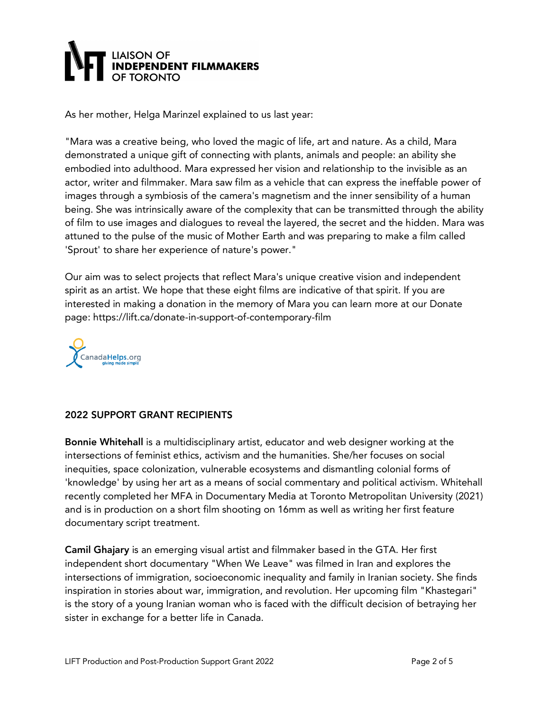## LIAISON OF<br>**INDEPENDENT FILMMAKERS**

As her mother, Helga Marinzel explained to us last year:

"Mara was a creative being, who loved the magic of life, art and nature. As a child, Mara demonstrated a unique gift of connecting with plants, animals and people: an ability she embodied into adulthood. Mara expressed her vision and relationship to the invisible as an actor, writer and filmmaker. Mara saw film as a vehicle that can express the ineffable power of images through a symbiosis of the camera's magnetism and the inner sensibility of a human being. She was intrinsically aware of the complexity that can be transmitted through the ability of film to use images and dialogues to reveal the layered, the secret and the hidden. Mara was attuned to the pulse of the music of Mother Earth and was preparing to make a film called 'Sprout' to share her experience of nature's power."

Our aim was to select projects that reflect Mara's unique creative vision and independent spirit as an artist. We hope that these eight films are indicative of that spirit. If you are interested in making a donation in the memory of Mara you can learn more at our Donate page: https://lift.ca/donate-in-support-of-contemporary-film



## 2022 SUPPORT GRANT RECIPIENTS

Bonnie Whitehall is a multidisciplinary artist, educator and web designer working at the intersections of feminist ethics, activism and the humanities. She/her focuses on social inequities, space colonization, vulnerable ecosystems and dismantling colonial forms of 'knowledge' by using her art as a means of social commentary and political activism. Whitehall recently completed her MFA in Documentary Media at Toronto Metropolitan University (2021) and is in production on a short film shooting on 16mm as well as writing her first feature documentary script treatment.

Camil Ghajary is an emerging visual artist and filmmaker based in the GTA. Her first independent short documentary "When We Leave" was filmed in Iran and explores the intersections of immigration, socioeconomic inequality and family in Iranian society. She finds inspiration in stories about war, immigration, and revolution. Her upcoming film "Khastegari" is the story of a young Iranian woman who is faced with the difficult decision of betraying her sister in exchange for a better life in Canada.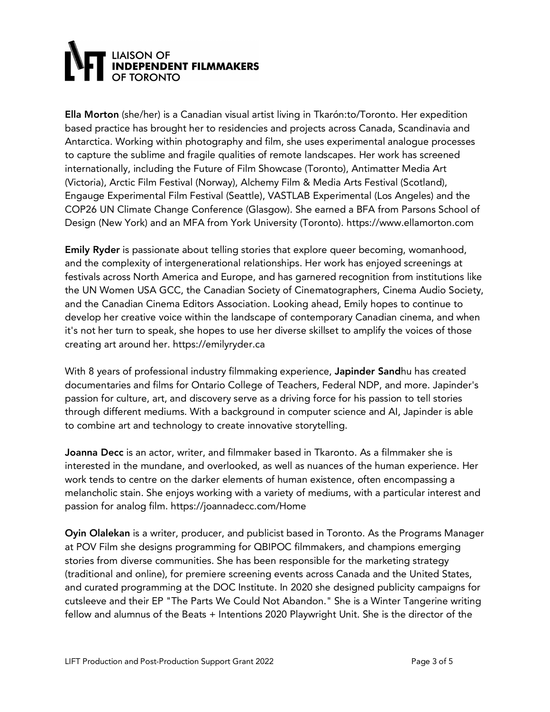# **LIAISON OF<br>INDEPENDENT FILMMAKERS**

Ella Morton (she/her) is a Canadian visual artist living in Tkarón:to/Toronto. Her expedition based practice has brought her to residencies and projects across Canada, Scandinavia and Antarctica. Working within photography and film, she uses experimental analogue processes to capture the sublime and fragile qualities of remote landscapes. Her work has screened internationally, including the Future of Film Showcase (Toronto), Antimatter Media Art (Victoria), Arctic Film Festival (Norway), Alchemy Film & Media Arts Festival (Scotland), Engauge Experimental Film Festival (Seattle), VASTLAB Experimental (Los Angeles) and the COP26 UN Climate Change Conference (Glasgow). She earned a BFA from Parsons School of Design (New York) and an MFA from York University (Toronto). https://www.ellamorton.com

Emily Ryder is passionate about telling stories that explore queer becoming, womanhood, and the complexity of intergenerational relationships. Her work has enjoyed screenings at festivals across North America and Europe, and has garnered recognition from institutions like the UN Women USA GCC, the Canadian Society of Cinematographers, Cinema Audio Society, and the Canadian Cinema Editors Association. Looking ahead, Emily hopes to continue to develop her creative voice within the landscape of contemporary Canadian cinema, and when it's not her turn to speak, she hopes to use her diverse skillset to amplify the voices of those creating art around her. https://emilyryder.ca

With 8 years of professional industry filmmaking experience, **Japinder Sand**hu has created documentaries and films for Ontario College of Teachers, Federal NDP, and more. Japinder's passion for culture, art, and discovery serve as a driving force for his passion to tell stories through different mediums. With a background in computer science and AI, Japinder is able to combine art and technology to create innovative storytelling.

Joanna Decc is an actor, writer, and filmmaker based in Tkaronto. As a filmmaker she is interested in the mundane, and overlooked, as well as nuances of the human experience. Her work tends to centre on the darker elements of human existence, often encompassing a melancholic stain. She enjoys working with a variety of mediums, with a particular interest and passion for analog film. https://joannadecc.com/Home

Oyin Olalekan is a writer, producer, and publicist based in Toronto. As the Programs Manager at POV Film she designs programming for QBIPOC filmmakers, and champions emerging stories from diverse communities. She has been responsible for the marketing strategy (traditional and online), for premiere screening events across Canada and the United States, and curated programming at the DOC Institute. In 2020 she designed publicity campaigns for cutsleeve and their EP "The Parts We Could Not Abandon." She is a Winter Tangerine writing fellow and alumnus of the Beats + Intentions 2020 Playwright Unit. She is the director of the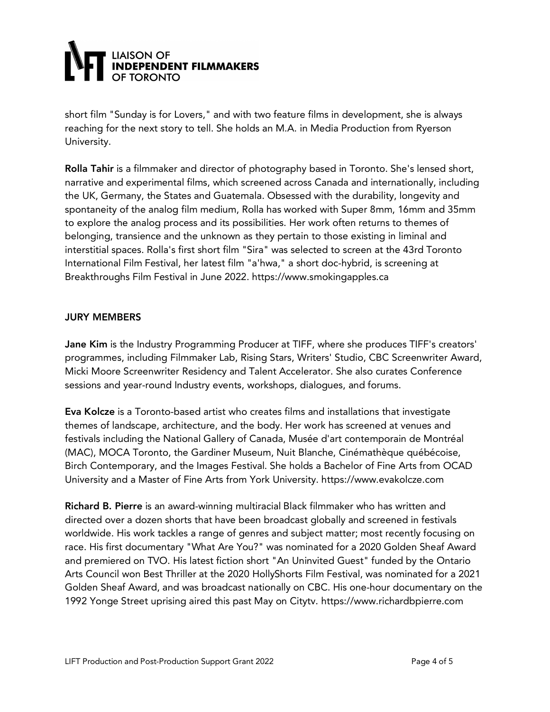

short film "Sunday is for Lovers," and with two feature films in development, she is always reaching for the next story to tell. She holds an M.A. in Media Production from Ryerson University.

Rolla Tahir is a filmmaker and director of photography based in Toronto. She's lensed short, narrative and experimental films, which screened across Canada and internationally, including the UK, Germany, the States and Guatemala. Obsessed with the durability, longevity and spontaneity of the analog film medium, Rolla has worked with Super 8mm, 16mm and 35mm to explore the analog process and its possibilities. Her work often returns to themes of belonging, transience and the unknown as they pertain to those existing in liminal and interstitial spaces. Rolla's first short film "Sira" was selected to screen at the 43rd Toronto International Film Festival, her latest film "a'hwa," a short doc-hybrid, is screening at Breakthroughs Film Festival in June 2022. https://www.smokingapples.ca

#### JURY MEMBERS

Jane Kim is the Industry Programming Producer at TIFF, where she produces TIFF's creators' programmes, including Filmmaker Lab, Rising Stars, Writers' Studio, CBC Screenwriter Award, Micki Moore Screenwriter Residency and Talent Accelerator. She also curates Conference sessions and year-round Industry events, workshops, dialogues, and forums.

Eva Kolcze is a Toronto-based artist who creates films and installations that investigate themes of landscape, architecture, and the body. Her work has screened at venues and festivals including the National Gallery of Canada, Musée d'art contemporain de Montréal (MAC), MOCA Toronto, the Gardiner Museum, Nuit Blanche, Cinémathèque québécoise, Birch Contemporary, and the Images Festival. She holds a Bachelor of Fine Arts from OCAD University and a Master of Fine Arts from York University. https://www.evakolcze.com

Richard B. Pierre is an award-winning multiracial Black filmmaker who has written and directed over a dozen shorts that have been broadcast globally and screened in festivals worldwide. His work tackles a range of genres and subject matter; most recently focusing on race. His first documentary "What Are You?" was nominated for a 2020 Golden Sheaf Award and premiered on TVO. His latest fiction short "An Uninvited Guest" funded by the Ontario Arts Council won Best Thriller at the 2020 HollyShorts Film Festival, was nominated for a 2021 Golden Sheaf Award, and was broadcast nationally on CBC. His one-hour documentary on the 1992 Yonge Street uprising aired this past May on Citytv. https://www.richardbpierre.com